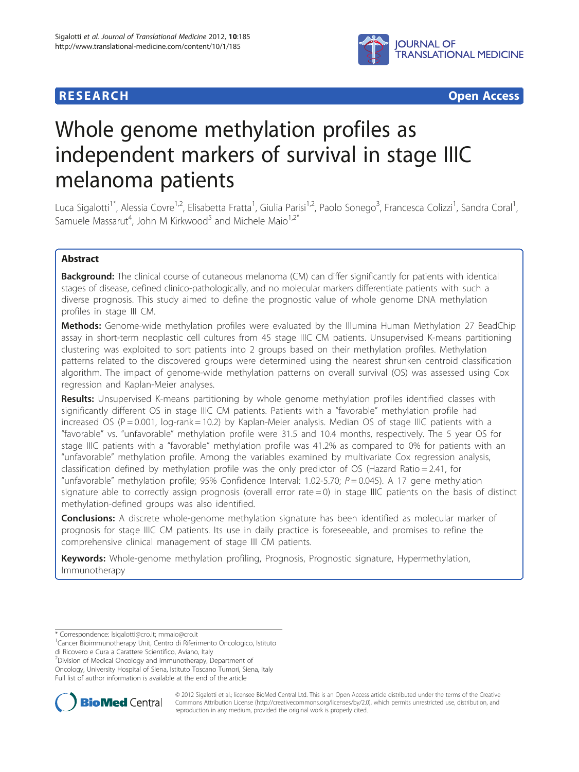



# Whole genome methylation profiles as independent markers of survival in stage IIIC melanoma patients

Luca Sigalotti<sup>1\*</sup>, Alessia Covre<sup>1,2</sup>, Elisabetta Fratta<sup>1</sup>, Giulia Parisi<sup>1,2</sup>, Paolo Sonego<sup>3</sup>, Francesca Colizzi<sup>1</sup>, Sandra Coral<sup>1</sup> , Samuele Massarut<sup>4</sup>, John M Kirkwood<sup>5</sup> and Michele Maio<sup>1,2\*</sup>

# Abstract

Background: The clinical course of cutaneous melanoma (CM) can differ significantly for patients with identical stages of disease, defined clinico-pathologically, and no molecular markers differentiate patients with such a diverse prognosis. This study aimed to define the prognostic value of whole genome DNA methylation profiles in stage III CM.

Methods: Genome-wide methylation profiles were evaluated by the Illumina Human Methylation 27 BeadChip assay in short-term neoplastic cell cultures from 45 stage IIIC CM patients. Unsupervised K-means partitioning clustering was exploited to sort patients into 2 groups based on their methylation profiles. Methylation patterns related to the discovered groups were determined using the nearest shrunken centroid classification algorithm. The impact of genome-wide methylation patterns on overall survival (OS) was assessed using Cox regression and Kaplan-Meier analyses.

Results: Unsupervised K-means partitioning by whole genome methylation profiles identified classes with significantly different OS in stage IIIC CM patients. Patients with a "favorable" methylation profile had increased OS ( $P = 0.001$ ,  $log-rank = 10.2$ ) by Kaplan-Meier analysis. Median OS of stage IIIC patients with a "favorable" vs. "unfavorable" methylation profile were 31.5 and 10.4 months, respectively. The 5 year OS for stage IIIC patients with a "favorable" methylation profile was 41.2% as compared to 0% for patients with an "unfavorable" methylation profile. Among the variables examined by multivariate Cox regression analysis, classification defined by methylation profile was the only predictor of OS (Hazard Ratio = 2.41, for "unfavorable" methylation profile; 95% Confidence Interval: 1.02-5.70;  $P = 0.045$ ). A 17 gene methylation signature able to correctly assign prognosis (overall error rate  $= 0$ ) in stage IIIC patients on the basis of distinct methylation-defined groups was also identified.

**Conclusions:** A discrete whole-genome methylation signature has been identified as molecular marker of prognosis for stage IIIC CM patients. Its use in daily practice is foreseeable, and promises to refine the comprehensive clinical management of stage III CM patients.

Keywords: Whole-genome methylation profiling, Prognosis, Prognostic signature, Hypermethylation, Immunotherapy

di Ricovero e Cura a Carattere Scientifico, Aviano, Italy

2 Division of Medical Oncology and Immunotherapy, Department of Oncology, University Hospital of Siena, Istituto Toscano Tumori, Siena, Italy

Full list of author information is available at the end of the article



© 2012 Sigalotti et al.; licensee BioMed Central Ltd. This is an Open Access article distributed under the terms of the Creative Commons Attribution License [\(http://creativecommons.org/licenses/by/2.0\)](http://creativecommons.org/licenses/by/2.0), which permits unrestricted use, distribution, and reproduction in any medium, provided the original work is properly cited.

<sup>\*</sup> Correspondence: [lsigalotti@cro.it](mailto:lsigalotti@cro.it); [mmaio@cro.it](mailto:mmaio@cro.it) <sup>1</sup>

Cancer Bioimmunotherapy Unit, Centro di Riferimento Oncologico, Istituto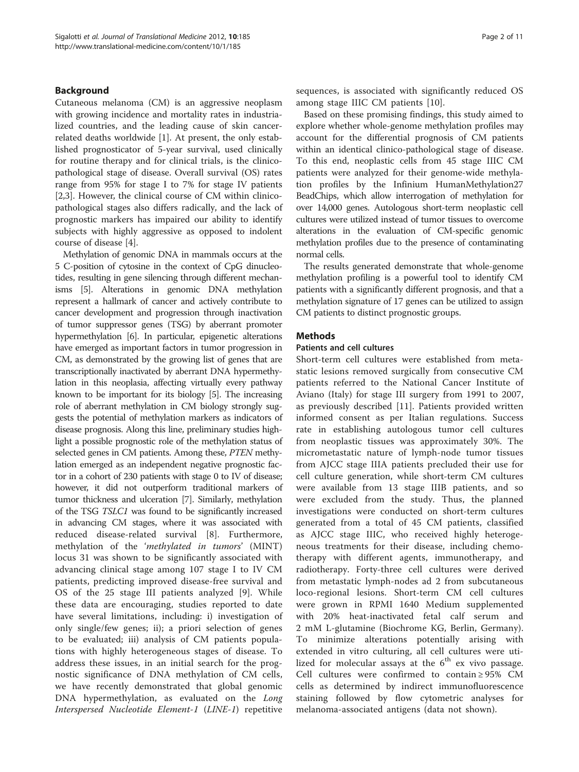# Background

Cutaneous melanoma (CM) is an aggressive neoplasm with growing incidence and mortality rates in industrialized countries, and the leading cause of skin cancerrelated deaths worldwide [\[1](#page-9-0)]. At present, the only established prognosticator of 5-year survival, used clinically for routine therapy and for clinical trials, is the clinicopathological stage of disease. Overall survival (OS) rates range from 95% for stage I to 7% for stage IV patients [[2,3\]](#page-9-0). However, the clinical course of CM within clinicopathological stages also differs radically, and the lack of prognostic markers has impaired our ability to identify subjects with highly aggressive as opposed to indolent course of disease [[4\]](#page-9-0).

Methylation of genomic DNA in mammals occurs at the 5 C-position of cytosine in the context of CpG dinucleotides, resulting in gene silencing through different mechanisms [\[5\]](#page-9-0). Alterations in genomic DNA methylation represent a hallmark of cancer and actively contribute to cancer development and progression through inactivation of tumor suppressor genes (TSG) by aberrant promoter hypermethylation [\[6](#page-9-0)]. In particular, epigenetic alterations have emerged as important factors in tumor progression in CM, as demonstrated by the growing list of genes that are transcriptionally inactivated by aberrant DNA hypermethylation in this neoplasia, affecting virtually every pathway known to be important for its biology [\[5\]](#page-9-0). The increasing role of aberrant methylation in CM biology strongly suggests the potential of methylation markers as indicators of disease prognosis. Along this line, preliminary studies highlight a possible prognostic role of the methylation status of selected genes in CM patients. Among these, PTEN methylation emerged as an independent negative prognostic factor in a cohort of 230 patients with stage 0 to IV of disease; however, it did not outperform traditional markers of tumor thickness and ulceration [\[7\]](#page-9-0). Similarly, methylation of the TSG TSLC1 was found to be significantly increased in advancing CM stages, where it was associated with reduced disease-related survival [\[8](#page-9-0)]. Furthermore, methylation of the 'methylated in tumors' (MINT) locus 31 was shown to be significantly associated with advancing clinical stage among 107 stage I to IV CM patients, predicting improved disease-free survival and OS of the 25 stage III patients analyzed [\[9](#page-9-0)]. While these data are encouraging, studies reported to date have several limitations, including: i) investigation of only single/few genes; ii); a priori selection of genes to be evaluated; iii) analysis of CM patients populations with highly heterogeneous stages of disease. To address these issues, in an initial search for the prognostic significance of DNA methylation of CM cells, we have recently demonstrated that global genomic DNA hypermethylation, as evaluated on the Long Interspersed Nucleotide Element-1 (LINE-1) repetitive

sequences, is associated with significantly reduced OS among stage IIIC CM patients [\[10](#page-9-0)].

Based on these promising findings, this study aimed to explore whether whole-genome methylation profiles may account for the differential prognosis of CM patients within an identical clinico-pathological stage of disease. To this end, neoplastic cells from 45 stage IIIC CM patients were analyzed for their genome-wide methylation profiles by the Infinium HumanMethylation27 BeadChips, which allow interrogation of methylation for over 14,000 genes. Autologous short-term neoplastic cell cultures were utilized instead of tumor tissues to overcome alterations in the evaluation of CM-specific genomic methylation profiles due to the presence of contaminating normal cells.

The results generated demonstrate that whole-genome methylation profiling is a powerful tool to identify CM patients with a significantly different prognosis, and that a methylation signature of 17 genes can be utilized to assign CM patients to distinct prognostic groups.

# **Methods**

#### Patients and cell cultures

Short-term cell cultures were established from metastatic lesions removed surgically from consecutive CM patients referred to the National Cancer Institute of Aviano (Italy) for stage III surgery from 1991 to 2007, as previously described [[11\]](#page-9-0). Patients provided written informed consent as per Italian regulations. Success rate in establishing autologous tumor cell cultures from neoplastic tissues was approximately 30%. The micrometastatic nature of lymph-node tumor tissues from AJCC stage IIIA patients precluded their use for cell culture generation, while short-term CM cultures were available from 13 stage IIIB patients, and so were excluded from the study. Thus, the planned investigations were conducted on short-term cultures generated from a total of 45 CM patients, classified as AJCC stage IIIC, who received highly heterogeneous treatments for their disease, including chemotherapy with different agents, immunotherapy, and radiotherapy. Forty-three cell cultures were derived from metastatic lymph-nodes ad 2 from subcutaneous loco-regional lesions. Short-term CM cell cultures were grown in RPMI 1640 Medium supplemented with 20% heat-inactivated fetal calf serum and 2 mM L-glutamine (Biochrome KG, Berlin, Germany). To minimize alterations potentially arising with extended in vitro culturing, all cell cultures were utilized for molecular assays at the  $6<sup>th</sup>$  ex vivo passage. Cell cultures were confirmed to contain ≥ 95% CM cells as determined by indirect immunofluorescence staining followed by flow cytometric analyses for melanoma-associated antigens (data not shown).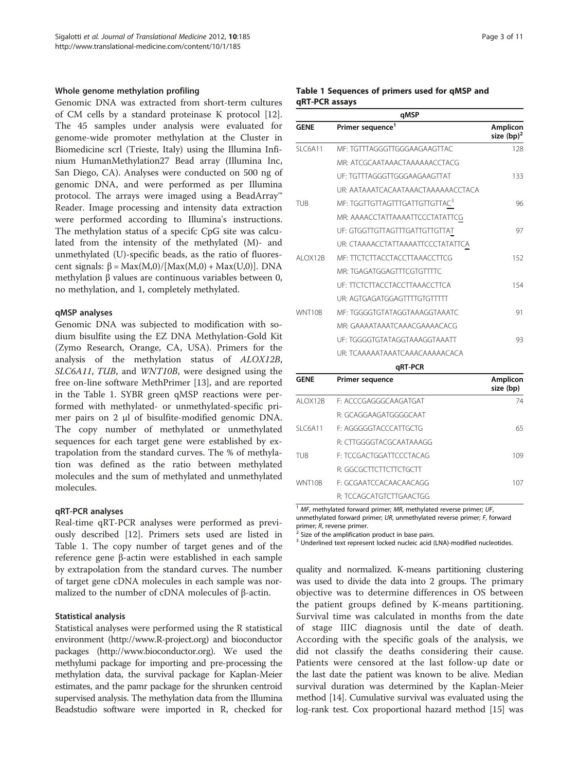#### Whole genome methylation profiling

Genomic DNA was extracted from short-term cultures of CM cells by a standard proteinase K protocol [\[12](#page-9-0)]. The 45 samples under analysis were evaluated for genome-wide promoter methylation at the Cluster in Biomedicine scrl (Trieste, Italy) using the Illumina Infinium HumanMethylation27 Bead array (Illumina Inc, San Diego, CA). Analyses were conducted on 500 ng of genomic DNA, and were performed as per Illumina protocol. The arrays were imaged using a BeadArray™ Reader. Image processing and intensity data extraction were performed according to Illumina's instructions. The methylation status of a specifc CpG site was calculated from the intensity of the methylated (M)- and unmethylated (U)-specific beads, as the ratio of fluorescent signals:  $β = Max(M,0)/[Max(M,0) + Max(U,0)].$  DNA methylation β values are continuous variables between 0, no methylation, and 1, completely methylated.

#### qMSP analyses

Genomic DNA was subjected to modification with sodium bisulfite using the EZ DNA Methylation-Gold Kit (Zymo Research, Orange, CA, USA). Primers for the analysis of the methylation status of ALOX12B, SLC6A11, TUB, and WNT10B, were designed using the free on-line software MethPrimer [[13](#page-10-0)], and are reported in the Table 1. SYBR green qMSP reactions were performed with methylated- or unmethylated-specific primer pairs on 2 μl of bisulfite-modified genomic DNA. The copy number of methylated or unmethylated sequences for each target gene were established by extrapolation from the standard curves. The % of methylation was defined as the ratio between methylated molecules and the sum of methylated and unmethylated molecules.

#### qRT-PCR analyses

Real-time qRT-PCR analyses were performed as previously described [[12\]](#page-9-0). Primers sets used are listed in Table 1. The copy number of target genes and of the reference gene β-actin were established in each sample by extrapolation from the standard curves. The number of target gene cDNA molecules in each sample was normalized to the number of cDNA molecules of β-actin.

#### Statistical analysis

Statistical analyses were performed using the R statistical environment [\(http://www.R-project.org](http://www.R-project.org)) and bioconductor packages ([http://www.bioconductor.org\)](http://www.bioconductor.org). We used the methylumi package for importing and pre-processing the methylation data, the survival package for Kaplan-Meier estimates, and the pamr package for the shrunken centroid supervised analysis. The methylation data from the Illumina Beadstudio software were imported in R, checked for

#### Table 1 Sequences of primers used for qMSP and qRT-PCR assays

| qMSP        |                                            |                                  |  |  |
|-------------|--------------------------------------------|----------------------------------|--|--|
| <b>GENE</b> | Primer sequence <sup>1</sup>               | <b>Amplicon</b><br>size $(bp)^2$ |  |  |
| SI C6A11    | ME: TGTTTAGGGTTGGGAAGAAGTTAC               | 128                              |  |  |
|             | MR: ATCGCAATAAACTAAAAAACCTACG              |                                  |  |  |
|             | UF: TGTTTAGGGTTGGGAAGAAGTTAT               | 133                              |  |  |
|             | UR: AATAAATCACAATAAACTAAAAAACCTACA         |                                  |  |  |
| <b>TUB</b>  | MF: TGGTTGTTAGTTTGATTGTTGTTAC <sup>3</sup> | 96                               |  |  |
|             | MR: AAAACCTATTAAAATTCCCTATATTCG            |                                  |  |  |
|             | UF: GTGGTTGTTAGTTTGATTGTTGTTAT             | 97                               |  |  |
|             | UR: CTAAAACCTATTAAAATTCCCTATATTCA          |                                  |  |  |
| AI OX12B    | MF: TTCTCTTACCTACCTTAAACCTTCG              | 152                              |  |  |
|             | MR: TGAGATGGAGTTTCGTGTTTTC                 |                                  |  |  |
|             | UF: TICICITACCTACCITAAACCITCA              | 154                              |  |  |
|             | UR: AGTGAGATGGAGTTTTGTGTTTT                |                                  |  |  |
| WNT10B      | MF: TGGGGTGTATAGGTAAAGGTAAATC              | 91                               |  |  |
|             | MR: GAAAATAAATCAAACGAAAACACG               |                                  |  |  |
|             | UF: TGGGGTGTATAGGTAAAGGTAAATT              | 93                               |  |  |
|             | UR: TCAAAAATAAATCAAACAAAAACACA             |                                  |  |  |
|             | qRT-PCR                                    |                                  |  |  |
| <b>GENE</b> | <b>Primer sequence</b>                     | <b>Amplicon</b><br>size (bp)     |  |  |
| AI OX12B    | F: ACCCGAGGGCAAGATGAT                      | 74                               |  |  |
|             | R: GCAGGAAGATGGGGCAAT                      |                                  |  |  |
| SI C6A11    | F: AGGGGGTACCCATTGCTG                      | 65                               |  |  |

|        | R: CTTGGGGTACGCAATAAAGG |     |
|--------|-------------------------|-----|
| tur    | E: TCCGACTGGATTCCCTACAG | 109 |
|        | R: GGCGCTTCTTCTTCTGCTT  |     |
| WNT10B | F: GCGAATCCACAACAACAGG  | 107 |
|        | R: TCCAGCATGTCTTGAACTGG |     |

 $1$  MF, methylated forward primer; MR, methylated reverse primer; UF,

unmethylated forward primer; UR, unmethylated reverse primer; F, forward<br>primer; R, reverse primer.<br> $\frac{2 \text{ Size}}{2 \text{ Size}}$  of the amelification and the state of the amelignation

Size of the amplification product in base pairs.

<sup>3</sup> Underlined text represent locked nucleic acid (LNA)-modified nucleotides.

quality and normalized. K-means partitioning clustering was used to divide the data into 2 groups. The primary objective was to determine differences in OS between the patient groups defined by K-means partitioning. Survival time was calculated in months from the date of stage IIIC diagnosis until the date of death. According with the specific goals of the analysis, we did not classify the deaths considering their cause. Patients were censored at the last follow-up date or the last date the patient was known to be alive. Median survival duration was determined by the Kaplan-Meier method [[14](#page-10-0)]. Cumulative survival was evaluated using the log-rank test. Cox proportional hazard method [[15](#page-10-0)] was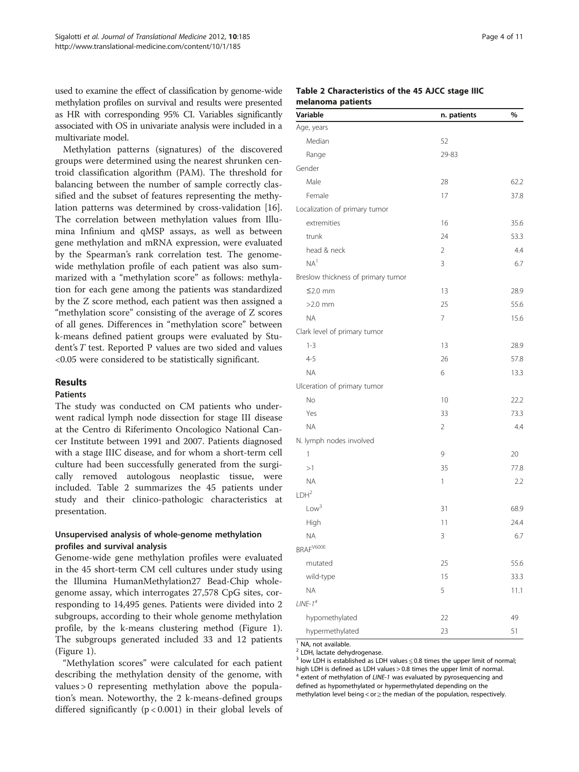used to examine the effect of classification by genome-wide methylation profiles on survival and results were presented as HR with corresponding 95% CI. Variables significantly associated with OS in univariate analysis were included in a multivariate model.

Methylation patterns (signatures) of the discovered groups were determined using the nearest shrunken centroid classification algorithm (PAM). The threshold for balancing between the number of sample correctly classified and the subset of features representing the methylation patterns was determined by cross-validation [\[16](#page-10-0)]. The correlation between methylation values from Illumina Infinium and qMSP assays, as well as between gene methylation and mRNA expression, were evaluated by the Spearman's rank correlation test. The genomewide methylation profile of each patient was also summarized with a "methylation score" as follows: methylation for each gene among the patients was standardized by the Z score method, each patient was then assigned a "methylation score" consisting of the average of Z scores of all genes. Differences in "methylation score" between k-means defined patient groups were evaluated by Student's  $T$  test. Reported P values are two sided and values <0.05 were considered to be statistically significant.

### Results

### Patients

The study was conducted on CM patients who underwent radical lymph node dissection for stage III disease at the Centro di Riferimento Oncologico National Cancer Institute between 1991 and 2007. Patients diagnosed with a stage IIIC disease, and for whom a short-term cell culture had been successfully generated from the surgically removed autologous neoplastic tissue, were included. Table 2 summarizes the 45 patients under study and their clinico-pathologic characteristics at presentation.

# Unsupervised analysis of whole-genome methylation profiles and survival analysis

Genome-wide gene methylation profiles were evaluated in the 45 short-term CM cell cultures under study using the Illumina HumanMethylation27 Bead-Chip wholegenome assay, which interrogates 27,578 CpG sites, corresponding to 14,495 genes. Patients were divided into 2 subgroups, according to their whole genome methylation profile, by the k-means clustering method (Figure [1](#page-4-0)). The subgroups generated included 33 and 12 patients (Figure [1](#page-4-0)).

"Methylation scores" were calculated for each patient describing the methylation density of the genome, with values > 0 representing methylation above the population's mean. Noteworthy, the 2 k-means-defined groups differed significantly  $(p < 0.001)$  in their global levels of

#### Table 2 Characteristics of the 45 AJCC stage IIIC melanoma patients

| Variable                           | n. patients    | %    |
|------------------------------------|----------------|------|
| Age, years                         |                |      |
| Median                             | 52             |      |
| Range                              | 29-83          |      |
| Gender                             |                |      |
| Male                               | 28             | 62.2 |
| Female                             | 17             | 37.8 |
| Localization of primary tumor      |                |      |
| extremities                        | 16             | 35.6 |
| trunk                              | 24             | 53.3 |
| head & neck                        | $\overline{2}$ | 4.4  |
| NA <sup>1</sup>                    | 3              | 6.7  |
| Breslow thickness of primary tumor |                |      |
| $≤2.0$ mm                          | 13             | 28.9 |
| $>2.0$ mm                          | 25             | 55.6 |
| <b>NA</b>                          | 7              | 15.6 |
| Clark level of primary tumor       |                |      |
| $1 - 3$                            | 13             | 28.9 |
| $4 - 5$                            | 26             | 57.8 |
| <b>NA</b>                          | 6              | 13.3 |
| Ulceration of primary tumor        |                |      |
| No                                 | 10             | 22.2 |
| Yes                                | 33             | 73.3 |
| <b>NA</b>                          | 2              | 4.4  |
| N. lymph nodes involved            |                |      |
| 1                                  | 9              | 20   |
| >1                                 | 35             | 77.8 |
| <b>NA</b>                          | 1              | 2.2  |
| LDH <sup>2</sup>                   |                |      |
| Low <sup>3</sup>                   | 31             | 68.9 |
| High                               | 11             | 24.4 |
| <b>NA</b>                          | 3              | 6.7  |
| BRAF <sup>V600E</sup>              |                |      |
| mutated                            | 25             | 55.6 |
| wild-type                          | 15             | 33.3 |
| <b>ΝΑ</b>                          | 5              | 11.1 |
| $LINE-14$                          |                |      |
| hypomethylated                     | 22             | 49   |
| hypermethylated                    | 23             | 51   |

<sup>1</sup> NA, not available.

<sup>2</sup> LDH, lactate dehydrogenase.

 $3$  low LDH is established as LDH values  $\leq$  0.8 times the upper limit of normal; high LDH is defined as LDH values > 0.8 times the upper limit of normal. extent of methylation of LINE-1 was evaluated by pyrosequencing and defined as hypomethylated or hypermethylated depending on the

methylation level being < or ≥ the median of the population, respectively.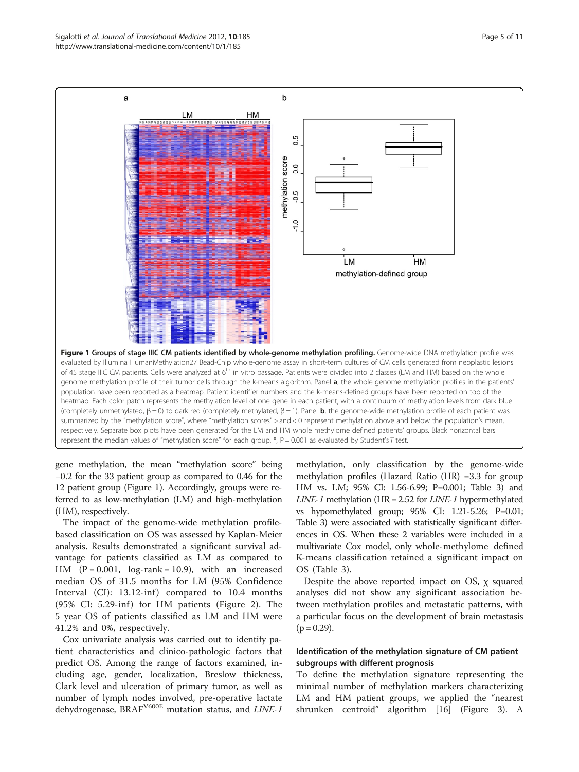<span id="page-4-0"></span>

gene methylation, the mean "methylation score" being −0.2 for the 33 patient group as compared to 0.46 for the 12 patient group (Figure 1). Accordingly, groups were referred to as low-methylation (LM) and high-methylation (HM), respectively.

The impact of the genome-wide methylation profilebased classification on OS was assessed by Kaplan-Meier analysis. Results demonstrated a significant survival advantage for patients classified as LM as compared to HM  $(P = 0.001, log-rank = 10.9)$ , with an increased median OS of 31.5 months for LM (95% Confidence Interval  $(Cl)$ : 13.12-inf) compared to 10.4 months  $(95\% \text{ CI: } 5.29\text{-inf})$  for HM patients (Figure [2\)](#page-5-0). The 5 year OS of patients classified as LM and HM were 41.2% and 0%, respectively.

Cox univariate analysis was carried out to identify patient characteristics and clinico-pathologic factors that predict OS. Among the range of factors examined, including age, gender, localization, Breslow thickness, Clark level and ulceration of primary tumor, as well as number of lymph nodes involved, pre-operative lactate dehydrogenase, BRAF<sup>V600E</sup> mutation status, and LINE-1 methylation, only classification by the genome-wide methylation profiles (Hazard Ratio (HR) =3.3 for group HM vs. LM; 95% CI: 1.56-6.99; P=0.001; Table [3](#page-5-0)) and  $LINE-1$  methylation (HR = 2.52 for  $LINE-1$  hypermethylated vs hypomethylated group; 95% CI: 1.21-5.26; P=0.01; Table [3\)](#page-5-0) were associated with statistically significant differences in OS. When these 2 variables were included in a multivariate Cox model, only whole-methylome defined K-means classification retained a significant impact on OS (Table [3](#page-5-0)).

Despite the above reported impact on OS, χ squared analyses did not show any significant association between methylation profiles and metastatic patterns, with a particular focus on the development of brain metastasis  $(p = 0.29)$ .

# Identification of the methylation signature of CM patient subgroups with different prognosis

To define the methylation signature representing the minimal number of methylation markers characterizing LM and HM patient groups, we applied the "nearest shrunken centroid" algorithm [\[16](#page-10-0)] (Figure [3\)](#page-6-0). A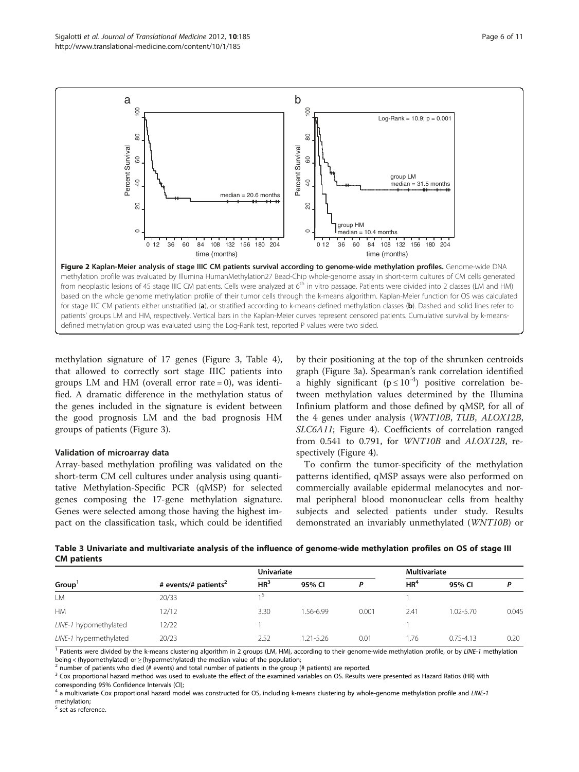methylation signature of 17 genes (Figure [3,](#page-6-0) Table [4](#page-7-0)), that allowed to correctly sort stage IIIC patients into groups LM and HM (overall error rate  $= 0$ ), was identified. A dramatic difference in the methylation status of the genes included in the signature is evident between the good prognosis LM and the bad prognosis HM

#### Validation of microarray data

groups of patients (Figure [3](#page-6-0)).

Array-based methylation profiling was validated on the short-term CM cell cultures under analysis using quantitative Methylation-Specific PCR (qMSP) for selected genes composing the 17-gene methylation signature. Genes were selected among those having the highest impact on the classification task, which could be identified by their positioning at the top of the shrunken centroids graph (Figure [3a\)](#page-6-0). Spearman's rank correlation identified a highly significant ( $p \le 10^{-4}$ ) positive correlation between methylation values determined by the Illumina Infinium platform and those defined by qMSP, for all of the 4 genes under analysis (WNT10B, TUB, ALOX12B, SLC6A11; Figure [4](#page-8-0)). Coefficients of correlation ranged from 0.541 to 0.791, for WNT10B and ALOX12B, respectively (Figure [4\)](#page-8-0).

To confirm the tumor-specificity of the methylation patterns identified, qMSP assays were also performed on commercially available epidermal melanocytes and normal peripheral blood mononuclear cells from healthy subjects and selected patients under study. Results demonstrated an invariably unmethylated (WNT10B) or



|                        | # events/# patients <sup>2</sup> | <b>Univariate</b> |           |       | <b>Multivariate</b> |               |       |
|------------------------|----------------------------------|-------------------|-----------|-------|---------------------|---------------|-------|
| Group <sup>1</sup>     |                                  | HR <sup>3</sup>   | 95% CI    |       | HR <sup>4</sup>     | 95% CI        |       |
| LM                     | 20/33                            |                   |           |       |                     |               |       |
| <b>HM</b>              | 12/12                            | 3.30              | 1.56-6.99 | 0.001 | 2.41                | 1.02-5.70     | 0.045 |
| LINE-1 hypomethylated  | 12/22                            |                   |           |       |                     |               |       |
| LINE-1 hypermethylated | 20/23                            | 2.52              | 1.21-5.26 | 0.01  | 1.76                | $0.75 - 4.13$ | 0.20  |

<sup>1</sup> Patients were divided by the k-means clustering algorithm in 2 groups (LM, HM), according to their genome-wide methylation profile, or by LINE-1 methylation being < (hypomethylated) or  $\geq$  (hypermethylated) the median value of the population;<br><sup>2</sup> number of patients who died (# events) and total number of patients in the group (# patients) are reported.

<sup>3</sup> Cox proportional hazard method was used to evaluate the effect of the examined variables on OS. Results were presented as Hazard Ratios (HR) with corresponding 95% Confidence Intervals (CI);

<sup>4</sup> a multivariate Cox proportional hazard model was constructed for OS, including k-means clustering by whole-genome methylation profile and LINE-1 methylation;

set as reference.

<span id="page-5-0"></span>Sigalotti et al. Journal of Translational Medicine 2012, 10:185 http://www.translational-medicine.com/content/10/1/185

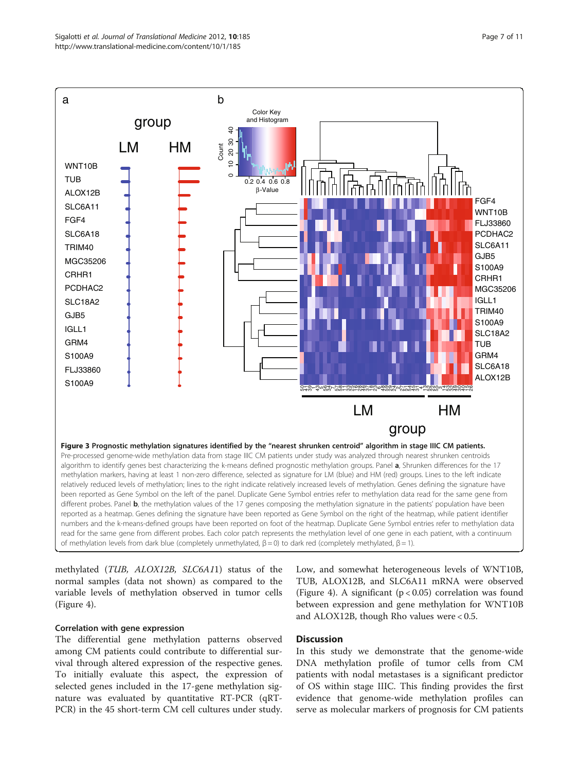<span id="page-6-0"></span>

methylated (TUB, ALOX12B, SLC6A11) status of the normal samples (data not shown) as compared to the variable levels of methylation observed in tumor cells (Figure [4](#page-8-0)).

# Correlation with gene expression

The differential gene methylation patterns observed among CM patients could contribute to differential survival through altered expression of the respective genes. To initially evaluate this aspect, the expression of selected genes included in the 17-gene methylation signature was evaluated by quantitative RT-PCR (qRT-PCR) in the 45 short-term CM cell cultures under study.

Low, and somewhat heterogeneous levels of WNT10B, TUB, ALOX12B, and SLC6A11 mRNA were observed (Figure [4](#page-8-0)). A significant ( $p < 0.05$ ) correlation was found between expression and gene methylation for WNT10B and ALOX12B, though Rho values were < 0.5.

# **Discussion**

In this study we demonstrate that the genome-wide DNA methylation profile of tumor cells from CM patients with nodal metastases is a significant predictor of OS within stage IIIC. This finding provides the first evidence that genome-wide methylation profiles can serve as molecular markers of prognosis for CM patients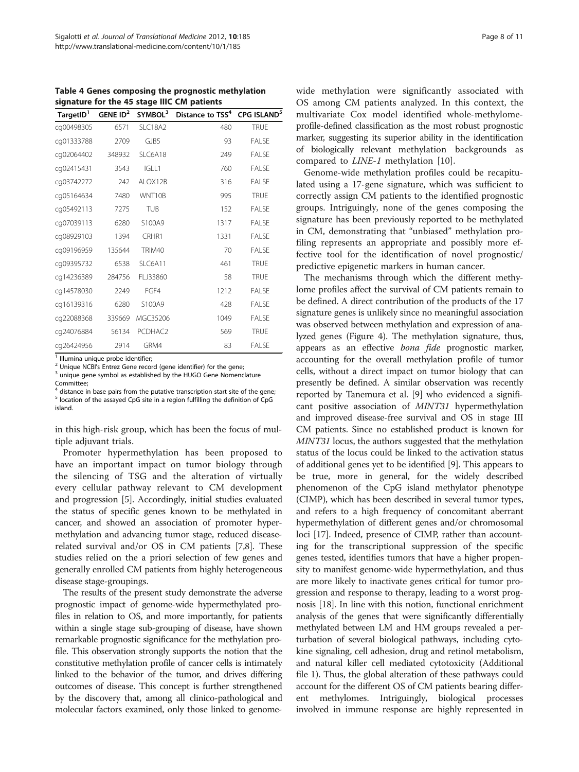<span id="page-7-0"></span>Table 4 Genes composing the prognostic methylation signature for the 45 stage IIIC CM patients

| TargetID <sup>1</sup> | GENE $ID2$ | SYMBOL <sup>3</sup> | Distance to TSS <sup>4</sup> | CPG ISLAND <sup>5</sup> |
|-----------------------|------------|---------------------|------------------------------|-------------------------|
| cg00498305            | 6571       | SLC18A2             | 480                          | <b>TRUE</b>             |
| cq01333788            | 2709       | GJB5                | 93                           | <b>FALSE</b>            |
| cg02064402            | 348932     | SLC6A18             | 249                          | <b>FALSE</b>            |
| cg02415431            | 3543       | IGLL1               | 760                          | <b>FALSE</b>            |
| cg03742272            | 242        | ALOX12B             | 316                          | <b>FALSE</b>            |
| cg05164634            | 7480       | WNT10B              | 995                          | <b>TRUE</b>             |
| cq05492113            | 7275       | <b>TUB</b>          | 152                          | FALSE                   |
| cq07039113            | 6280       | S100A9              | 1317                         | <b>FALSE</b>            |
| cq08929103            | 1394       | CRHR1               | 1331                         | <b>FALSE</b>            |
| cq09196959            | 135644     | TRIM40              | 70                           | FALSE                   |
| cq09395732            | 6538       | SLC6A11             | 461                          | <b>TRUE</b>             |
| cq14236389            | 284756     | FLJ33860            | 58                           | <b>TRUE</b>             |
| cq14578030            | 2249       | FGF4                | 1212                         | <b>FALSE</b>            |
| cq16139316            | 6280       | S100A9              | 428                          | <b>FALSE</b>            |
| cq22088368            | 339669     | MGC35206            | 1049                         | <b>FALSE</b>            |
| cq24076884            | 56134      | PCDHAC2             | 569                          | <b>TRUE</b>             |
| cq26424956            | 2914       | GRM4                | 83                           | <b>FALSE</b>            |

<sup>1</sup> Illumina unique probe identifier;

<sup>2</sup> Unique NCBI's Entrez Gene record (gene identifier) for the gene;

unique gene symbol as established by the HUGO Gene Nomenclature Committee;

 $4$  distance in base pairs from the putative transcription start site of the gene; <sup>5</sup> location of the assayed CpG site in a region fulfilling the definition of CpG island.

in this high-risk group, which has been the focus of multiple adjuvant trials.

Promoter hypermethylation has been proposed to have an important impact on tumor biology through the silencing of TSG and the alteration of virtually every cellular pathway relevant to CM development and progression [\[5](#page-9-0)]. Accordingly, initial studies evaluated the status of specific genes known to be methylated in cancer, and showed an association of promoter hypermethylation and advancing tumor stage, reduced diseaserelated survival and/or OS in CM patients [\[7,8\]](#page-9-0). These studies relied on the a priori selection of few genes and generally enrolled CM patients from highly heterogeneous disease stage-groupings.

The results of the present study demonstrate the adverse prognostic impact of genome-wide hypermethylated profiles in relation to OS, and more importantly, for patients within a single stage sub-grouping of disease, have shown remarkable prognostic significance for the methylation profile. This observation strongly supports the notion that the constitutive methylation profile of cancer cells is intimately linked to the behavior of the tumor, and drives differing outcomes of disease. This concept is further strengthened by the discovery that, among all clinico-pathological and molecular factors examined, only those linked to genomewide methylation were significantly associated with OS among CM patients analyzed. In this context, the multivariate Cox model identified whole-methylomeprofile-defined classification as the most robust prognostic marker, suggesting its superior ability in the identification of biologically relevant methylation backgrounds as compared to LINE-1 methylation [\[10](#page-9-0)].

Genome-wide methylation profiles could be recapitulated using a 17-gene signature, which was sufficient to correctly assign CM patients to the identified prognostic groups. Intriguingly, none of the genes composing the signature has been previously reported to be methylated in CM, demonstrating that "unbiased" methylation profiling represents an appropriate and possibly more effective tool for the identification of novel prognostic/ predictive epigenetic markers in human cancer.

The mechanisms through which the different methylome profiles affect the survival of CM patients remain to be defined. A direct contribution of the products of the 17 signature genes is unlikely since no meaningful association was observed between methylation and expression of analyzed genes (Figure [4\)](#page-8-0). The methylation signature, thus, appears as an effective bona fide prognostic marker, accounting for the overall methylation profile of tumor cells, without a direct impact on tumor biology that can presently be defined. A similar observation was recently reported by Tanemura et al. [\[9\]](#page-9-0) who evidenced a significant positive association of MINT31 hypermethylation and improved disease-free survival and OS in stage III CM patients. Since no established product is known for MINT31 locus, the authors suggested that the methylation status of the locus could be linked to the activation status of additional genes yet to be identified [[9\]](#page-9-0). This appears to be true, more in general, for the widely described phenomenon of the CpG island methylator phenotype (CIMP), which has been described in several tumor types, and refers to a high frequency of concomitant aberrant hypermethylation of different genes and/or chromosomal loci [[17](#page-10-0)]. Indeed, presence of CIMP, rather than accounting for the transcriptional suppression of the specific genes tested, identifies tumors that have a higher propensity to manifest genome-wide hypermethylation, and thus are more likely to inactivate genes critical for tumor progression and response to therapy, leading to a worst prognosis [\[18\]](#page-10-0). In line with this notion, functional enrichment analysis of the genes that were significantly differentially methylated between LM and HM groups revealed a perturbation of several biological pathways, including cytokine signaling, cell adhesion, drug and retinol metabolism, and natural killer cell mediated cytotoxicity (Additional file [1\)](#page-9-0). Thus, the global alteration of these pathways could account for the different OS of CM patients bearing different methylomes. Intriguingly, biological processes involved in immune response are highly represented in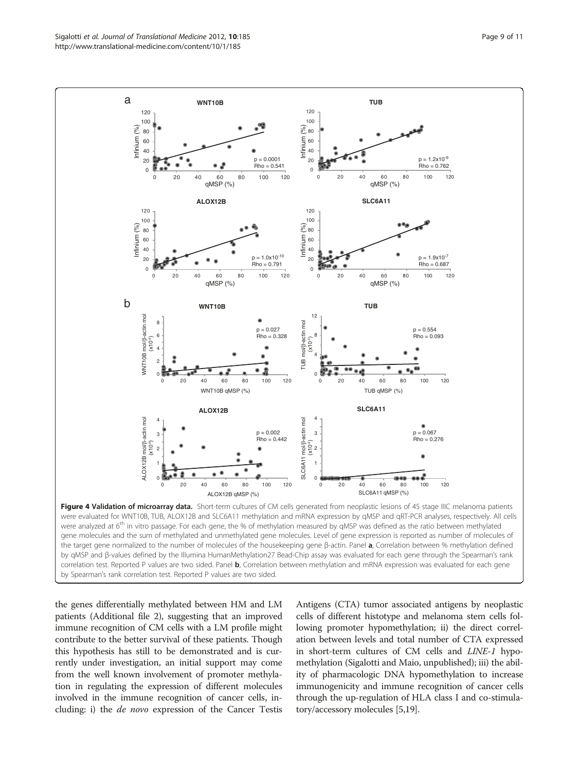<span id="page-8-0"></span>

were analyzed at 6<sup>th</sup> in vitro passage. For each gene, the % of methylation measured by qMSP was defined as the ratio between methylated gene molecules and the sum of methylated and unmethylated gene molecules. Level of gene expression is reported as number of molecules of the target gene normalized to the number of molecules of the housekeeping gene β-actin. Panel a, Correlation between % methylation defined by qMSP and β-values defined by the Illumina HumanMethylation27 Bead-Chip assay was evaluated for each gene through the Spearman's rank correlation test. Reported P values are two sided. Panel b, Correlation between methylation and mRNA expression was evaluated for each gene by Spearman's rank correlation test. Reported P values are two sided.

the genes differentially methylated between HM and LM patients (Additional file [2](#page-9-0)), suggesting that an improved immune recognition of CM cells with a LM profile might contribute to the better survival of these patients. Though this hypothesis has still to be demonstrated and is currently under investigation, an initial support may come from the well known involvement of promoter methylation in regulating the expression of different molecules involved in the immune recognition of cancer cells, including: i) the de novo expression of the Cancer Testis Antigens (CTA) tumor associated antigens by neoplastic cells of different histotype and melanoma stem cells following promoter hypomethylation; ii) the direct correlation between levels and total number of CTA expressed in short-term cultures of CM cells and LINE-1 hypomethylation (Sigalotti and Maio, unpublished); iii) the ability of pharmacologic DNA hypomethylation to increase immunogenicity and immune recognition of cancer cells through the up-regulation of HLA class I and co-stimulatory/accessory molecules [\[5](#page-9-0)[,19\]](#page-10-0).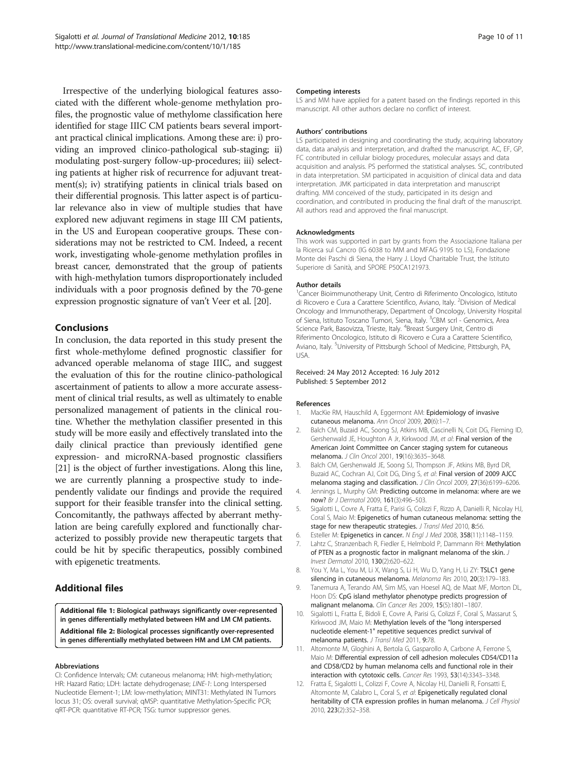<span id="page-9-0"></span>Irrespective of the underlying biological features associated with the different whole-genome methylation profiles, the prognostic value of methylome classification here identified for stage IIIC CM patients bears several important practical clinical implications. Among these are: i) providing an improved clinico-pathological sub-staging; ii) modulating post-surgery follow-up-procedures; iii) selecting patients at higher risk of recurrence for adjuvant treatment(s); iv) stratifying patients in clinical trials based on their differential prognosis. This latter aspect is of particular relevance also in view of multiple studies that have explored new adjuvant regimens in stage III CM patients, in the US and European cooperative groups. These considerations may not be restricted to CM. Indeed, a recent work, investigating whole-genome methylation profiles in breast cancer, demonstrated that the group of patients with high-methylation tumors disproportionately included individuals with a poor prognosis defined by the 70-gene expression prognostic signature of van't Veer et al. [\[20\]](#page-10-0).

# **Conclusions**

In conclusion, the data reported in this study present the first whole-methylome defined prognostic classifier for advanced operable melanoma of stage IIIC, and suggest the evaluation of this for the routine clinico-pathological ascertainment of patients to allow a more accurate assessment of clinical trial results, as well as ultimately to enable personalized management of patients in the clinical routine. Whether the methylation classifier presented in this study will be more easily and effectively translated into the daily clinical practice than previously identified gene expression- and microRNA-based prognostic classifiers [[21](#page-10-0)] is the object of further investigations. Along this line, we are currently planning a prospective study to independently validate our findings and provide the required support for their feasible transfer into the clinical setting. Concomitantly, the pathways affected by aberrant methylation are being carefully explored and functionally characterized to possibly provide new therapeutic targets that could be hit by specific therapeutics, possibly combined with epigenetic treatments.

# Additional files

[Additional file 1:](http://www.biomedcentral.com/content/supplementary/1479-5876-10-185-S1.pdf) Biological pathways significantly over-represented in genes differentially methylated between HM and LM CM patients. [Additional file 2:](http://www.biomedcentral.com/content/supplementary/1479-5876-10-185-S2.pdf) Biological processes significantly over-represented in genes differentially methylated between HM and LM CM patients.

#### Abbreviations

CI: Confidence Intervals; CM: cutaneous melanoma; HM: high-methylation; HR: Hazard Ratio; LDH: lactate dehydrogenase; LINE-1: Long Interspersed Nucleotide Element-1; LM: low-methylation; MINT31: Methylated IN Tumors locus 31; OS: overall survival; qMSP: quantitative Methylation-Specific PCR; qRT-PCR: quantitative RT-PCR; TSG: tumor suppressor genes.

#### Competing interests

LS and MM have applied for a patent based on the findings reported in this manuscript. All other authors declare no conflict of interest.

#### Authors' contributions

LS participated in designing and coordinating the study, acquiring laboratory data, data analysis and interpretation, and drafted the manuscript. AC, EF, GP, FC contributed in cellular biology procedures, molecular assays and data acquisition and analysis. PS performed the statistical analyses. SC, contributed in data interpretation. SM participated in acquisition of clinical data and data interpretation. JMK participated in data interpretation and manuscript drafting. MM conceived of the study, participated in its design and coordination, and contributed in producing the final draft of the manuscript. All authors read and approved the final manuscript.

#### Acknowledgments

This work was supported in part by grants from the Associazione Italiana per la Ricerca sul Cancro (IG 6038 to MM and MFAG 9195 to LS), Fondazione Monte dei Paschi di Siena, the Harry J. Lloyd Charitable Trust, the Istituto Superiore di Sanità, and SPORE P50CA121973.

#### Author details

<sup>1</sup> Cancer Bioimmunotherapy Unit, Centro di Riferimento Oncologico, Istituto di Ricovero e Cura a Carattere Scientifico, Aviano, Italy. <sup>2</sup>Division of Medical Oncology and Immunotherapy, Department of Oncology, University Hospital of Siena, Istituto Toscano Tumori, Siena, Italy. <sup>3</sup>CBM scrl - Genomics, Area Science Park, Basovizza, Trieste, Italy. <sup>4</sup>Breast Surgery Unit, Centro di Riferimento Oncologico, Istituto di Ricovero e Cura a Carattere Scientifico, Aviano, Italy. <sup>5</sup>University of Pittsburgh School of Medicine, Pittsburgh, PA, USA.

#### Received: 24 May 2012 Accepted: 16 July 2012 Published: 5 September 2012

#### References

- 1. MacKie RM, Hauschild A, Eggermont AM: Epidemiology of invasive cutaneous melanoma. Ann Oncol 2009, 20(6):1–7.
- 2. Balch CM, Buzaid AC, Soong SJ, Atkins MB, Cascinelli N, Coit DG, Fleming ID, Gershenwald JE, Houghton A Jr, Kirkwood JM, et al: Final version of the American Joint Committee on Cancer staging system for cutaneous melanoma. J Clin Oncol 2001, 19(16):3635–3648.
- 3. Balch CM, Gershenwald JE, Soong SJ, Thompson JF, Atkins MB, Byrd DR, Buzaid AC, Cochran AJ, Coit DG, Ding S, et al: Final version of 2009 AJCC melanoma staging and classification. J Clin Oncol 2009, 27(36):6199–6206.
- 4. Jennings L, Murphy GM: Predicting outcome in melanoma: where are we now? Br J Dermatol 2009, 161(3):496–503.
- 5. Sigalotti L, Covre A, Fratta E, Parisi G, Colizzi F, Rizzo A, Danielli R, Nicolay HJ, Coral S, Maio M: Epigenetics of human cutaneous melanoma: setting the stage for new therapeutic strategies. J Transl Med 2010, 8:56.
- 6. Esteller M: Epigenetics in cancer. N Engl J Med 2008, 358(11):1148–1159.
- Lahtz C, Stranzenbach R, Fiedler E, Helmbold P, Dammann RH: Methylation of PTEN as a prognostic factor in malignant melanoma of the skin. J Invest Dermatol 2010, 130(2):620–622.
- 8. You Y, Ma L, You M, Li X, Wang S, Li H, Wu D, Yang H, Li ZY: TSLC1 gene silencing in cutaneous melanoma. Melanoma Res 2010, 20(3):179–183.
- 9. Tanemura A, Terando AM, Sim MS, van Hoesel AQ, de Maat MF, Morton DL, Hoon DS: CpG island methylator phenotype predicts progression of malignant melanoma. Clin Cancer Res 2009, 15(5):1801–1807.
- 10. Sigalotti L, Fratta E, Bidoli E, Covre A, Parisi G, Colizzi F, Coral S, Massarut S, Kirkwood JM, Maio M: Methylation levels of the "long interspersed nucleotide element-1" repetitive sequences predict survival of melanoma patients. J Transl Med 2011, 9:78.
- 11. Altomonte M, Gloghini A, Bertola G, Gasparollo A, Carbone A, Ferrone S, Maio M: Differential expression of cell adhesion molecules CD54/CD11a and CD58/CD2 by human melanoma cells and functional role in their interaction with cytotoxic cells. Cancer Res 1993, 53(14):3343–3348.
- 12. Fratta E, Sigalotti L, Colizzi F, Covre A, Nicolay HJ, Danielli R, Fonsatti E, Altomonte M, Calabro L, Coral S, et al: Epigenetically regulated clonal heritability of CTA expression profiles in human melanoma. J Cell Physiol 2010, 223(2):352–358.